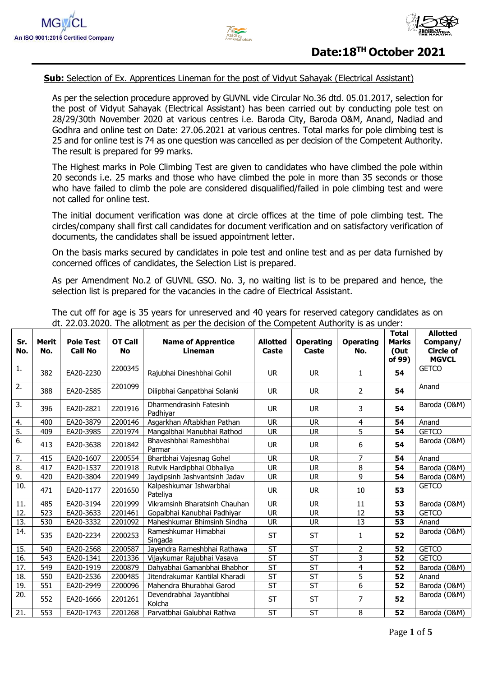



### **Sub:** Selection of Ex. Apprentices Lineman for the post of Vidyut Sahayak (Electrical Assistant)

As per the selection procedure approved by GUVNL vide Circular No.36 dtd. 05.01.2017, selection for the post of Vidyut Sahayak (Electrical Assistant) has been carried out by conducting pole test on 28/29/30th November 2020 at various centres i.e. Baroda City, Baroda O&M, Anand, Nadiad and Godhra and online test on Date: 27.06.2021 at various centres. Total marks for pole climbing test is 25 and for online test is 74 as one question was cancelled as per decision of the Competent Authority. The result is prepared for 99 marks.

The Highest marks in Pole Climbing Test are given to candidates who have climbed the pole within 20 seconds i.e. 25 marks and those who have climbed the pole in more than 35 seconds or those who have failed to climb the pole are considered disqualified/failed in pole climbing test and were not called for online test.

The initial document verification was done at circle offices at the time of pole climbing test. The circles/company shall first call candidates for document verification and on satisfactory verification of documents, the candidates shall be issued appointment letter.

On the basis marks secured by candidates in pole test and online test and as per data furnished by concerned offices of candidates, the Selection List is prepared.

As per Amendment No.2 of GUVNL GSO. No. 3, no waiting list is to be prepared and hence, the selection list is prepared for the vacancies in the cadre of Electrical Assistant.

| Sr.<br>No.        | Merit<br>No. | <b>Pole Test</b><br><b>Call No</b> | <b>OT Call</b><br><b>No</b> | <b>Name of Apprentice</b><br><b>Lineman</b> | <b>Allotted</b><br>Caste | <b>Operating</b><br>Caste | <b>Operating</b><br>No. | Total<br><b>Marks</b><br>(Out<br>of 99) | <b>Allotted</b><br>Company/<br><b>Circle of</b><br><b>MGVCL</b> |
|-------------------|--------------|------------------------------------|-----------------------------|---------------------------------------------|--------------------------|---------------------------|-------------------------|-----------------------------------------|-----------------------------------------------------------------|
| 1.                | 382          | EA20-2230                          | 2200345                     | Rajubhai Dineshbhai Gohil                   | <b>UR</b>                | <b>UR</b>                 | $\mathbf{1}$            | 54                                      | <b>GETCO</b>                                                    |
| 2.                | 388          | EA20-2585                          | 2201099                     | Dilipbhai Ganpatbhai Solanki                | <b>UR</b>                | <b>UR</b>                 | $\overline{2}$          | 54                                      | Anand                                                           |
| 3.                | 396          | EA20-2821                          | 2201916                     | Dharmendrasinh Fatesinh<br>Padhiyar         | <b>UR</b>                | <b>UR</b>                 | 3                       | 54                                      | Baroda (O&M)                                                    |
| 4.                | 400          | EA20-3879                          | 2200146                     | Asgarkhan Aftabkhan Pathan                  | <b>UR</b>                | <b>UR</b>                 | 4                       | 54                                      | Anand                                                           |
| 5.                | 409          | EA20-3985                          | 2201974                     | Mangalbhai Manubhai Rathod                  | <b>UR</b>                | <b>UR</b>                 | $\overline{5}$          | 54                                      | <b>GETCO</b>                                                    |
| 6.                | 413          | EA20-3638                          | 2201842                     | Bhaveshbhai Rameshbhai<br>Parmar            | <b>UR</b>                | <b>UR</b>                 | 6                       | 54                                      | Baroda (O&M)                                                    |
| 7.                | 415          | EA20-1607                          | 2200554                     | Bhartbhai Vajesnag Gohel                    | UR                       | <b>UR</b>                 | 7                       | 54                                      | Anand                                                           |
| 8.                | 417          | EA20-1537                          | 2201918                     | Rutvik Hardipbhai Obhaliya                  | <b>UR</b>                | <b>UR</b>                 | 8                       | 54                                      | Baroda (O&M)                                                    |
| <u>9.</u>         | 420          | EA20-3804                          | 2201949                     | Jaydipsinh Jashvantsinh Jadav               | <b>UR</b>                | <b>UR</b>                 | 9                       | 54                                      | Baroda (O&M)                                                    |
| $\overline{10}$ . | 471          | EA20-1177                          | 2201650                     | Kalpeshkumar Ishwarbhai<br>Pateliya         | <b>UR</b>                | <b>UR</b>                 | 10                      | 53                                      | <b>GETCO</b>                                                    |
| <u>11.</u>        | 485          | EA20-3194                          | 2201999                     | Vikramsinh Bharatsinh Chauhan               | <b>UR</b>                | <b>UR</b>                 | 11                      | 53                                      | Baroda (O&M)                                                    |
| 12.               | 523          | EA20-3633                          | 2201461                     | Gopalbhai Kanubhai Padhiyar                 | <b>UR</b>                | <b>UR</b>                 | 12                      | 53                                      | <b>GETCO</b>                                                    |
| $\overline{13}$ . | 530          | EA20-3332                          | 2201092                     | Maheshkumar Bhimsinh Sindha                 | <b>UR</b>                | <b>UR</b>                 | $\overline{13}$         | 53                                      | Anand                                                           |
| $\overline{14}$ . | 535          | EA20-2234                          | 2200253                     | Rameshkumar Himabhai<br>Singada             | <b>ST</b>                | <b>ST</b>                 | 1                       | 52                                      | Baroda (O&M)                                                    |
| 15.               | 540          | EA20-2568                          | 2200587                     | Jayendra Rameshbhai Rathawa                 | <b>ST</b>                | <b>ST</b>                 | $\overline{2}$          | 52                                      | <b>GETCO</b>                                                    |
| $\overline{16}$ . | 543          | EA20-1341                          | 2201336                     | Vijaykumar Rajubhai Vasava                  | $\overline{\mathsf{ST}}$ | $\overline{\mathsf{ST}}$  | $\overline{3}$          | 52                                      | <b>GETCO</b>                                                    |
| 17.               | 549          | EA20-1919                          | 2200879                     | Dahyabhai Gamanbhai Bhabhor                 | <b>ST</b>                | <b>ST</b>                 | $\overline{4}$          | 52                                      | Baroda (O&M)                                                    |
| 18.               | 550          | EA20-2536                          | 2200485                     | Jitendrakumar Kantilal Kharadi              | <b>ST</b>                | <b>ST</b>                 | $\overline{5}$          | 52                                      | Anand                                                           |
| $\overline{19}$ . | 551          | EA20-2949                          | 2200096                     | Mahendra Bhurabhai Garod                    | $\overline{\mathsf{ST}}$ | $\overline{\mathsf{ST}}$  | $\overline{6}$          | 52                                      | Baroda (O&M)                                                    |
| 20.               | 552          | EA20-1666                          | 2201261                     | Devendrabhai Jayantibhai<br>Kolcha          | <b>ST</b>                | <b>ST</b>                 | 7                       | 52                                      | Baroda (O&M)                                                    |
| 21.               | 553          | EA20-1743                          | 2201268                     | Parvatbhai Galubhai Rathva                  | <b>ST</b>                | <b>ST</b>                 | 8                       | 52                                      | Baroda (O&M)                                                    |

The cut off for age is 35 years for unreserved and 40 years for reserved category candidates as on dt. 22.03.2020. The allotment as per the decision of the Competent Authority is as under: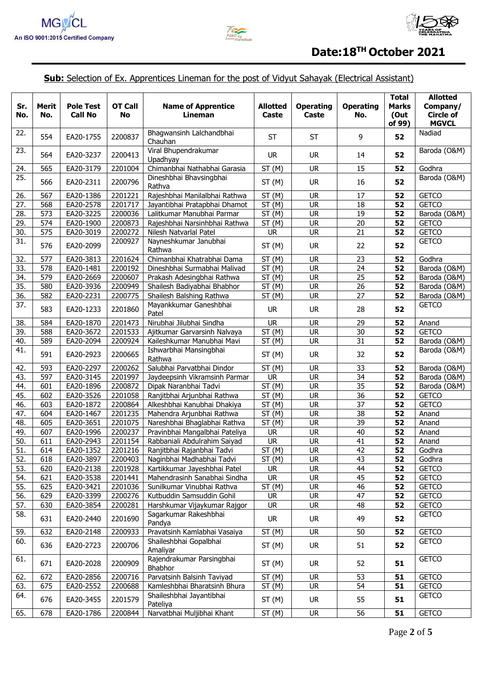



## **Sub:** Selection of Ex. Apprentices Lineman for the post of Vidyut Sahayak (Electrical Assistant)

| Sr.<br>No.        | <b>Merit</b><br>No. | <b>Pole Test</b><br><b>Call No</b> | <b>OT Call</b><br><b>No</b> | <b>Name of Apprentice</b><br>Lineman                           | <b>Allotted</b><br>Caste | <b>Operating</b><br>Caste | <b>Operating</b><br>No. | <b>Total</b><br><b>Marks</b><br>(Out<br>of 99) | <b>Allotted</b><br>Company/<br><b>Circle of</b><br><b>MGVCL</b> |
|-------------------|---------------------|------------------------------------|-----------------------------|----------------------------------------------------------------|--------------------------|---------------------------|-------------------------|------------------------------------------------|-----------------------------------------------------------------|
| 22.               | 554                 | EA20-1755                          | 2200837                     | Bhagwansinh Lalchandbhai<br>Chauhan                            | ST                       | <b>ST</b>                 | 9                       | 52                                             | Nadiad                                                          |
| 23.               | 564                 | EA20-3237                          | 2200413                     | Viral Bhupendrakumar<br>Upadhyay                               | <b>UR</b>                | <b>UR</b>                 | 14                      | 52                                             | Baroda (O&M)                                                    |
| 24.               | 565                 | EA20-3179                          | 2201004                     | Chimanbhai Nathabhai Garasia                                   | ST(M)                    | <b>UR</b>                 | 15                      | 52                                             | Godhra                                                          |
| 25.               | 566                 | EA20-2311                          | 2200796                     | Dineshbhai Bhavsingbhai<br>Rathva                              | ST(M)                    | <b>UR</b>                 | 16                      | 52                                             | Baroda (O&M)                                                    |
| 26.               | 567                 | EA20-1386                          | 2201221                     | Rajeshbhai Manilalbhai Rathwa                                  | ST(M)                    | <b>UR</b>                 | 17                      | 52                                             | <b>GETCO</b>                                                    |
| 27.               | 568                 | EA20-2578                          | 2201717                     | Jayantibhai Pratapbhai Dhamot                                  | ST(M)                    | <b>UR</b>                 | 18                      | 52                                             | <b>GETCO</b>                                                    |
| 28.               | 573                 | EA20-3225                          | 2200036                     | Lalitkumar Manubhai Parmar                                     | ST(M)                    | <b>UR</b>                 | 19                      | 52                                             | Baroda (O&M)                                                    |
| 29.               | 574                 | EA20-1900                          | 2200873                     | Rajeshbhai Narsinhbhai Rathwa                                  | ST(M)                    | <b>UR</b>                 | 20                      | 52                                             | <b>GETCO</b>                                                    |
| 30.               | 575                 | EA20-3019                          | 2200272                     | Nilesh Natvarlal Patel                                         | <b>UR</b>                | <b>UR</b>                 | 21                      | 52                                             | <b>GETCO</b>                                                    |
| 31.               | 576                 | EA20-2099                          | 2200927                     | Nayneshkumar Janubhai<br>Rathwa                                | ST(M)                    | <b>UR</b>                 | 22                      | 52                                             | <b>GETCO</b>                                                    |
| 32.               | 577                 | EA20-3813                          | 2201624                     | Chimanbhai Khatrabhai Dama                                     | ST(M)                    | <b>UR</b>                 | 23                      | 52                                             | Godhra                                                          |
| 33.               | 578                 | EA20-1481                          | 2200192                     | Dineshbhai Surmabhai Malivad                                   | ST(M)                    | <b>UR</b>                 | 24                      | 52                                             | Baroda (O&M)                                                    |
| 34.               | 579                 | EA20-2669                          | 2200607                     | Prakash Adesingbhai Rathwa                                     | ST(M)                    | <b>UR</b>                 | 25                      | 52                                             | Baroda (O&M)                                                    |
| 35.               | 580                 | EA20-3936                          | 2200949                     | Shailesh Badiyabhai Bhabhor                                    | ST(M)                    | <b>UR</b>                 | 26                      | 52                                             | Baroda (O&M)                                                    |
| $\overline{36}$ . | 582                 | EA20-2231                          | 2200775                     | Shailesh Balshing Rathwa                                       | $\overline{ST}$ (M)      | <b>UR</b>                 | $\overline{27}$         | 52                                             | Baroda (O&M)                                                    |
| 37.               | 583                 | EA20-1233                          | 2201860                     | Mayankkumar Ganeshbhai<br>Patel                                | <b>UR</b>                | <b>UR</b>                 | 28                      | 52                                             | <b>GETCO</b>                                                    |
| 38.               | 584                 | EA20-1870                          | 2201473                     | Nirubhai Jilubhai Sindha                                       | <b>UR</b>                | <b>UR</b>                 | 29                      | 52                                             | Anand                                                           |
| 39.               | 588                 | EA20-3672                          | 2201533                     | Ajitkumar Garvarsinh Nalvaya                                   | ST(M)                    | <b>UR</b>                 | 30                      | 52                                             | <b>GETCO</b>                                                    |
| 40.               | 589                 | EA20-2094                          | 2200924                     | Kaileshkumar Manubhai Mavi                                     | ST(M)                    | <b>UR</b>                 | 31                      | 52                                             | Baroda (O&M)                                                    |
| 41.               | 591                 | EA20-2923                          | 2200665                     | Ishwarbhai Mansingbhai<br>Rathwa                               | ST(M)                    | <b>UR</b>                 | 32                      | 52                                             | Baroda (O&M)                                                    |
| 42.               | 593                 | EA20-2297                          | 2200262                     | Salubhai Parvatbhai Dindor                                     | ST(M)                    | <b>UR</b>                 | 33                      | 52                                             | Baroda (O&M)                                                    |
| 43.               | 597                 | EA20-3145                          | 2201997                     | Jaydeepsinh Vikramsinh Parmar                                  | <b>UR</b>                | <b>UR</b>                 | 34                      | 52                                             | Baroda (O&M)                                                    |
| 44.               | 601                 | EA20-1896                          | 2200872                     | Dipak Naranbhai Tadvi                                          | ST(M)                    | <b>UR</b>                 | 35                      | 52                                             | Baroda (O&M)                                                    |
| 45.               | 602                 | EA20-3526                          | 2201058                     | Ranjitbhai Arjunbhai Rathwa                                    | ST(M)                    | <b>UR</b>                 | 36                      | 52                                             | <b>GETCO</b>                                                    |
| 46.               | 603                 | EA20-1872                          | 2200864                     | Alkeshbhai Kanubhai Dhakiya                                    | <b>ST</b><br>(M)         | <b>UR</b>                 | 37                      | 52                                             | <b>GETCO</b>                                                    |
| 47.               | 604                 | EA20-1467                          | 2201235                     | Mahendra Arjunbhai Rathwa                                      | ST(M)                    | <b>UR</b>                 | 38                      | 52                                             | Anand                                                           |
| 48.<br>49.        | 605<br>607          | EA20-3651<br>EA20-1996             | 2201075<br>2200237          | Nareshbhai Bhaglabhai Rathva<br>Pravinbhai Mangalbhai Pateliya | ST(M)<br><b>UR</b>       | <b>UR</b><br><b>UR</b>    | 39<br>40                | 52<br>$\overline{52}$                          | Anand                                                           |
| 50.               | 611                 | EA20-2943                          | 2201154                     | Rabbaniali Abdulrahim Saiyad                                   | <b>UR</b>                | <b>UR</b>                 | $\overline{41}$         | 52                                             | Anand<br>Anand                                                  |
| 51.               | 614                 | EA20-1352                          | 2201216                     | Ranjitbhai Rajanbhai Tadvi                                     | ST(M)                    | <b>UR</b>                 | $\overline{42}$         | 52                                             | Godhra                                                          |
| 52.               | 618                 | EA20-3897                          | 2200403                     | Naginbhai Madhabhai Tadvi                                      | ST(M)                    | <b>UR</b>                 | 43                      | 52                                             | Godhra                                                          |
| 53.               | 620                 | EA20-2138                          | 2201928                     | Kartikkumar Jayeshbhai Patel                                   | <b>UR</b>                | <b>UR</b>                 | 44                      | 52                                             | <b>GETCO</b>                                                    |
| 54.               | 621                 | EA20-3538                          | 2201441                     | Mahendrasinh Sanabhai Sindha                                   | <b>UR</b>                | <b>UR</b>                 | 45                      | 52                                             | <b>GETCO</b>                                                    |
| 55.               | 625                 | EA20-3421                          | 2201036                     | Sunilkumar Vinubhai Rathva                                     | ST(M)                    | <b>UR</b>                 | 46                      | 52                                             | <b>GETCO</b>                                                    |
| 56.               | 629                 | EA20-3399                          | 2200276                     | Kutbuddin Samsuddin Gohil                                      | <b>UR</b>                | <b>UR</b>                 | 47                      | 52                                             | <b>GETCO</b>                                                    |
| 57.               | 630                 | EA20-3854                          | 2200281                     | Harshkumar Vijaykumar Rajgor                                   | <b>UR</b>                | <b>UR</b>                 | 48                      | 52                                             | <b>GETCO</b>                                                    |
| 58.               | 631                 | EA20-2440                          | 2201690                     | Sagarkumar Rakeshbhai<br>Pandya                                | <b>UR</b>                | <b>UR</b>                 | 49                      | 52                                             | <b>GETCO</b>                                                    |
| 59.               | 632                 | EA20-2148                          | 2200933                     | Pravatsinh Kamlabhai Vasaiya                                   | ST(M)                    | <b>UR</b>                 | 50                      | 52                                             | <b>GETCO</b>                                                    |
| 60.               | 636                 | EA20-2723                          | 2200706                     | Shaileshbhai Gopalbhai<br>Amaliyar                             | ST(M)                    | <b>UR</b>                 | 51                      | 52                                             | <b>GETCO</b>                                                    |
| 61.               | 671                 | EA20-2028                          | 2200909                     | Rajendrakumar Parsingbhai<br>Bhabhor                           | ST(M)                    | <b>UR</b>                 | 52                      | 51                                             | <b>GETCO</b>                                                    |
| 62.               | 672                 | EA20-2856                          | 2200716                     | Parvatsinh Balsinh Taviyad                                     | ST(M)                    | <b>UR</b>                 | 53                      | 51                                             | <b>GETCO</b>                                                    |
| 63.               | 675                 | EA20-2552                          | 2200688                     | Kamleshbhai Bharatsinh Bhura                                   | ST(M)                    | <b>UR</b>                 | 54                      | 51                                             | <b>GETCO</b>                                                    |
| 64.               | 676                 | EA20-3455                          | 2201579                     | Shaileshbhai Jayantibhai<br>Pateliya                           | ST(M)                    | <b>UR</b>                 | 55                      | 51                                             | <b>GETCO</b>                                                    |
| 65.               | 678                 | EA20-1786                          | 2200844                     | Narvatbhai Muljibhai Khant                                     | ST(M)                    | <b>UR</b>                 | 56                      | 51                                             | <b>GETCO</b>                                                    |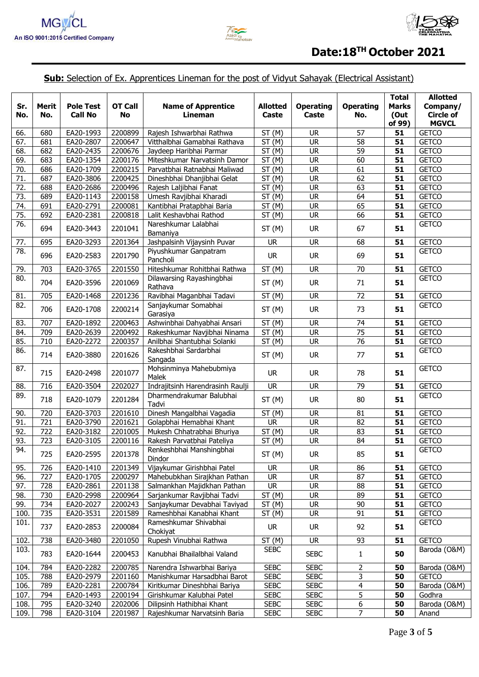



# **Sub:** Selection of Ex. Apprentices Lineman for the post of Vidyut Sahayak (Electrical Assistant)

| Sr.<br>No.        | Merit<br>No. | <b>Pole Test</b><br><b>Call No</b> | OT Call<br><b>No</b> | <b>Name of Apprentice</b><br>Lineman | <b>Allotted</b><br>Caste | <b>Operating</b><br>Caste | <b>Operating</b><br>No. | <b>Total</b><br><b>Marks</b><br>(Out<br>of 99) | <b>Allotted</b><br>Company/<br><b>Circle of</b><br><b>MGVCL</b> |
|-------------------|--------------|------------------------------------|----------------------|--------------------------------------|--------------------------|---------------------------|-------------------------|------------------------------------------------|-----------------------------------------------------------------|
| 66.               | 680          | EA20-1993                          | 2200899              | Rajesh Ishwarbhai Rathwa             | ST(M)                    | <b>UR</b>                 | 57                      | 51                                             | <b>GETCO</b>                                                    |
| 67.               | 681          | EA20-2807                          | 2200647              | Vitthalbhai Gamabhai Rathava         | ST(M)                    | <b>UR</b>                 | 58                      | 51                                             | <b>GETCO</b>                                                    |
| 68.               | 682          | EA20-2435                          | 2200676              | Jaydeep Haribhai Parmar              | ST(M)                    | <b>UR</b>                 | 59                      | 51                                             | <b>GETCO</b>                                                    |
| 69.               | 683          | EA20-1354                          | 2200176              | Miteshkumar Narvatsinh Damor         | ST(M)                    | <b>UR</b>                 | 60                      | 51                                             | <b>GETCO</b>                                                    |
| 70.               | 686          | EA20-1709                          | 2200215              | Parvatbhai Ratnabhai Maliwad         | <b>ST</b><br>(M)         | <b>UR</b>                 | 61                      | 51                                             | <b>GETCO</b>                                                    |
| 71.               | 687          | EA20-3806                          | 2200425              | Dineshbhai Dhanjibhai Gelat          | ST<br>(M)                | <b>UR</b>                 | 62                      | 51                                             | <b>GETCO</b>                                                    |
| 72.               | 688          | EA20-2686                          | 2200496              | Rajesh Laljibhai Fanat               | ST(M)                    | <b>UR</b>                 | 63                      | 51                                             | <b>GETCO</b>                                                    |
| $\overline{73}$ . | 689          | EA20-1143                          | 2200158              | Umesh Ravjibhai Kharadi              | ST (M)                   | <b>UR</b>                 | 64                      | 51                                             | <b>GETCO</b>                                                    |
| 74.               | 691          | EA20-2791                          | 2200081              | Kantibhai Pratapbhai Baria           | ST(M)                    | <b>UR</b>                 | 65                      | 51                                             | <b>GETCO</b>                                                    |
| 75.               | 692          | EA20-2381                          | 2200818              | Lalit Keshavbhai Rathod              | ST(M)                    | <b>UR</b>                 | 66                      | 51                                             | <b>GETCO</b>                                                    |
| $\overline{76}$ . | 694          | EA20-3443                          | 2201041              | Nareshkumar Lalabhai<br>Bamaniya     | ST(M)                    | <b>UR</b>                 | 67                      | 51                                             | <b>GETCO</b>                                                    |
| 77.               | 695          | EA20-3293                          | 2201364              | Jashpalsinh Vijaysinh Puvar          | <b>UR</b>                | <b>UR</b>                 | 68                      | 51                                             | <b>GETCO</b>                                                    |
| 78.               | 696          | EA20-2583                          | 2201790              | Piyushkumar Ganpatram<br>Pancholi    | <b>UR</b>                | <b>UR</b>                 | 69                      | 51                                             | <b>GETCO</b>                                                    |
| 79.               | 703          | EA20-3765                          | 2201550              | Hiteshkumar Rohitbhai Rathwa         | ST(M)                    | <b>UR</b>                 | 70                      | 51                                             | <b>GETCO</b>                                                    |
| 80.               | 704          | EA20-3596                          | 2201069              | Dilawarsing Rayashingbhai<br>Rathava | ST(M)                    | <b>UR</b>                 | 71                      | 51                                             | <b>GETCO</b>                                                    |
| 81.               | 705          | EA20-1468                          | 2201236              | Ravibhai Maganbhai Tadavi            | ST(M)                    | <b>UR</b>                 | 72                      | 51                                             | <b>GETCO</b>                                                    |
| 82.               | 706          | EA20-1708                          | 2200214              | Sanjaykumar Somabhai<br>Garasiya     | ST(M)                    | <b>UR</b>                 | 73                      | 51                                             | <b>GETCO</b>                                                    |
| 83.               | 707          | EA20-1892                          | 2200463              | Ashwinbhai Dahyabhai Ansari          | ST(M)                    | <b>UR</b>                 | 74                      | 51                                             | <b>GETCO</b>                                                    |
| 84.               | 709          | EA20-2639                          | 2200492              | Rakeshkumar Navjibhai Ninama         | ST(M)                    | <b>UR</b>                 | 75                      | 51                                             | <b>GETCO</b>                                                    |
| 85.               | 710          | EA20-2272                          | 2200357              | Anilbhai Shantubhai Solanki          | ST(M)                    | <b>UR</b>                 | 76                      | 51                                             | <b>GETCO</b>                                                    |
| 86.               | 714          | EA20-3880                          | 2201626              | Rakeshbhai Sardarbhai<br>Sangada     | ST(M)                    | <b>UR</b>                 | 77                      | 51                                             | <b>GETCO</b>                                                    |
| 87.               | 715          | EA20-2498                          | 2201077              | Mohsinminya Mahebubmiya<br>Malek     | <b>UR</b>                | <b>UR</b>                 | 78                      | 51                                             | <b>GETCO</b>                                                    |
| 88.               | 716          | EA20-3504                          | 2202027              | Indrajitsinh Harendrasinh Raulji     | <b>UR</b>                | <b>UR</b>                 | 79                      | 51                                             | <b>GETCO</b>                                                    |
| 89.               | 718          | EA20-1079                          | 2201284              | Dharmendrakumar Balubhai<br>Tadvi    | ST(M)                    | <b>UR</b>                 | 80                      | 51                                             | <b>GETCO</b>                                                    |
| 90.               | 720          | EA20-3703                          | 2201610              | Dinesh Mangalbhai Vagadia            | ST(M)                    | <b>UR</b>                 | 81                      | 51                                             | <b>GETCO</b>                                                    |
| 91.               | 721          | EA20-3790                          | 2201621              | Golapbhai Hemabhai Khant             | <b>UR</b>                | <b>UR</b>                 | 82                      | 51                                             | <b>GETCO</b>                                                    |
| 92.               | 722          | EA20-3182                          | 2201005              | Mukesh Chhatrabhai Bhuriya           | ST(M)                    | <b>UR</b>                 | $\overline{83}$         | 51                                             | <b>GETCO</b>                                                    |
| 93.               | 723          | EA20-3105                          | 2200116              | Rakesh Parvatbhai Pateliya           | ST(M)                    | <b>UR</b>                 | 84                      | 51                                             | <b>GETCO</b>                                                    |
| 94.               | 725          | EA20-2595                          | 2201378              | Renkeshbhai Manshingbhai<br>Dindor   | ST(M)                    | <b>UR</b>                 | 85                      | 51                                             | <b>GETCO</b>                                                    |
| 95.               | 726          | EA20-1410                          | 2201349              | Vijaykumar Girishbhai Patel          | <b>UR</b>                | <b>UR</b>                 | 86                      | 51                                             | <b>GETCO</b>                                                    |
| 96.               | 727          | EA20-1705                          | 2200297              | Mahebubkhan Sirajkhan Pathan         | <b>UR</b>                | <b>UR</b>                 | 87                      | 51                                             | <b>GETCO</b>                                                    |
| 97.               | 728          | EA20-2861                          | 2201138              | Salmankhan Majidkhan Pathan          | <b>UR</b>                | <b>UR</b>                 | 88                      | 51                                             | <b>GETCO</b>                                                    |
| 98.               | 730          | EA20-2998                          | 2200964              | Sarjankumar Ravjibhai Tadvi          | ST(M)                    | <b>UR</b>                 | 89                      | 51                                             | <b>GETCO</b>                                                    |
| 99.               | 734          | EA20-2027                          | 2200243              | Sanjaykumar Devabhai Taviyad         | ST(M)                    | <b>UR</b>                 | $\overline{90}$         | 51                                             | <b>GETCO</b>                                                    |
| 100.              | 735          | EA20-3531                          | 2201589              | Rameshbhai Kanabhai Khant            | ST(M)                    | <b>UR</b>                 | 91                      | 51                                             | <b>GETCO</b>                                                    |
| 101.              | 737          | EA20-2853                          | 2200084              | Rameshkumar Shivabhai<br>Chokiyat    | <b>UR</b>                | UR.                       | 92                      | 51                                             | <b>GETCO</b>                                                    |
| 102.              | 738          | EA20-3480                          | 2201050              | Rupesh Vinubhai Rathwa               | ST(M)                    | <b>UR</b>                 | 93                      | 51                                             | <b>GETCO</b>                                                    |
| 103.              | 783          | EA20-1644                          | 2200453              | Kanubhai Bhailalbhai Valand          | <b>SEBC</b>              | <b>SEBC</b>               | $\mathbf{1}$            | 50                                             | Baroda (O&M)                                                    |
| 104.              | 784          | EA20-2282                          | 2200785              | Narendra Ishwarbhai Bariya           | <b>SEBC</b>              | <b>SEBC</b>               | 2                       | 50                                             | Baroda (O&M)                                                    |
| 105.              | 788          | EA20-2979                          | 2201160              | Manishkumar Harsadbhai Barot         | <b>SEBC</b>              | <b>SEBC</b>               | 3                       | 50                                             | <b>GETCO</b>                                                    |
| 106.              | 789          | EA20-2281                          | 2200784              | Kiritkumar Dineshbhai Bariya         | <b>SEBC</b>              | <b>SEBC</b>               | 4                       | 50                                             | Baroda (O&M)                                                    |
| 107.              | 794          | EA20-1493                          | 2200194              | Girishkumar Kalubhai Patel           | <b>SEBC</b>              | <b>SEBC</b>               | 5                       | 50                                             | Godhra                                                          |
| 108.              | 795          | EA20-3240                          | 2202006              | Dilipsinh Hathibhai Khant            | <b>SEBC</b>              | <b>SEBC</b>               | 6                       | 50                                             | Baroda (O&M)                                                    |
| 109.              | 798          | EA20-3104                          | 2201987              | Rajeshkumar Narvatsinh Baria         | <b>SEBC</b>              | <b>SEBC</b>               | 7                       | 50                                             | Anand                                                           |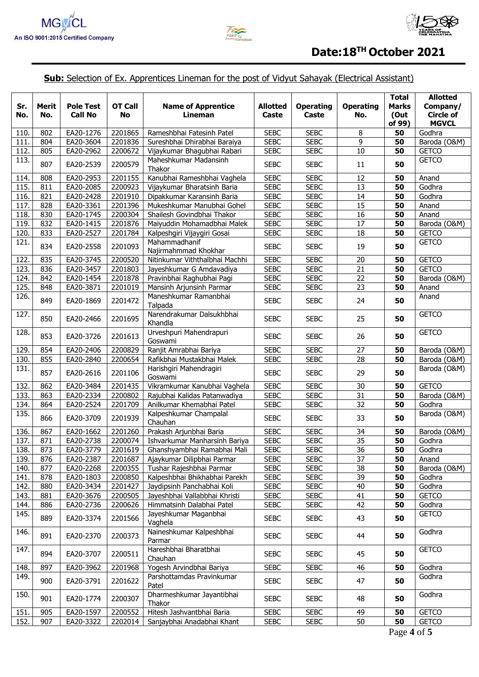



## **Sub:** Selection of Ex. Apprentices Lineman for the post of Vidyut Sahayak (Electrical Assistant)

| Sr.<br>No. | Merit<br>No. | <b>Pole Test</b><br><b>Call No</b> | <b>OT Call</b><br><b>No</b> | <b>Name of Apprentice</b><br>Lineman  | <b>Allotted</b><br>Caste | <b>Operating</b><br>Caste | <b>Operating</b><br>No. | <b>Total</b><br><b>Marks</b><br>(Out<br>of 99) | <b>Allotted</b><br>Company/<br><b>Circle of</b><br><b>MGVCL</b> |
|------------|--------------|------------------------------------|-----------------------------|---------------------------------------|--------------------------|---------------------------|-------------------------|------------------------------------------------|-----------------------------------------------------------------|
| 110        | 802          | EA20-1276                          | 2201865                     | Rameshbhai Fatesinh Patel             | <b>SEBC</b>              | <b>SEBC</b>               | 8                       | 50                                             | Godhra                                                          |
| 111        | 804          | EA20-3604                          | 2201836                     | Sureshbhai Dhirabhai Baraiya          | <b>SEBC</b>              | <b>SEBC</b>               | 9                       | 50                                             | Baroda (O&M)                                                    |
| 112.       | 805          | EA20-2962                          | 2200672                     | Vijaykumar Bhagubhai Rabari           | <b>SEBC</b>              | <b>SEBC</b>               | 10                      | 50                                             | <b>GETCO</b>                                                    |
| 113.       | 807          | EA20-2539                          | 2200579                     | Maheshkumar Madansinh<br>Thakor       | <b>SEBC</b>              | <b>SEBC</b>               | 11                      | 50                                             | <b>GETCO</b>                                                    |
| 114.       | 808          | EA20-2953                          | 2201155                     | Kanubhai Rameshbhai Vaghela           | <b>SEBC</b>              | <b>SEBC</b>               | 12                      | 50                                             | Anand                                                           |
| 115.       | 811          | EA20-2085                          | 2200923                     | Vijaykumar Bharatsinh Baria           | <b>SEBC</b>              | <b>SEBC</b>               | 13                      | 50                                             | Godhra                                                          |
| 116.       | 821          | EA20-2428                          | 2201910                     | Dipakkumar Karansinh Baria            | <b>SEBC</b>              | <b>SEBC</b>               | 14                      | 50                                             | Godhra                                                          |
| 117.       | 828          | EA20-3361                          | 2201396                     | Mukeshkumar Manubhai Gohel            | <b>SEBC</b>              | <b>SEBC</b>               | 15                      | 50                                             | Anand                                                           |
| 118.       | 830          | EA20-1745                          | 2200304                     | Shailesh Govindbhai Thakor            | <b>SEBC</b>              | <b>SEBC</b>               | 16                      | 50                                             | Anand                                                           |
| 119.       | 832          | EA20-1415                          | 2201876                     | Maiyuddin Mohamadbhai Malek           | <b>SEBC</b>              | <b>SEBC</b>               | 17                      | 50                                             | Baroda (O&M)                                                    |
| 120.       | 833          | EA20-2527                          | 2201784                     | Kalpeshgiri Vijaygiri Gosai           | <b>SEBC</b>              | <b>SEBC</b>               | 18                      | 50                                             | <b>GETCO</b>                                                    |
| 121.       | 834          | EA20-2558                          | 2201093                     | Mahammadhanif<br>Najirmahmmad Khokhar | <b>SEBC</b>              | <b>SEBC</b>               | 19                      | 50                                             | <b>GETCO</b>                                                    |
| 122.       | 835          | EA20-3745                          | 2200520                     | Nitinkumar Viththalbhai Machhi        | <b>SEBC</b>              | <b>SEBC</b>               | 20                      | 50                                             | <b>GETCO</b>                                                    |
| 123.       | 836          | EA20-3457                          | 2201803                     | Jayeshkumar G Amdavadiya              | <b>SEBC</b>              | <b>SEBC</b>               | 21                      | 50                                             | <b>GETCO</b>                                                    |
| 124.       | 842          | EA20-1454                          | 2201878                     | Pravinbhai Raghubhai Pagi             | <b>SEBC</b>              | <b>SEBC</b>               | $\overline{22}$         | 50                                             | Baroda (O&M)                                                    |
| 125.       | 848          | EA20-3871                          | 2201019                     | Mansinh Arjunsinh Parmar              | <b>SEBC</b>              | <b>SEBC</b>               | 23                      | 50                                             | Anand                                                           |
| 126.       | 849          | EA20-1869                          | 2201472                     | Maneshkumar Ramanbhai<br>Talpada      | <b>SEBC</b>              | <b>SEBC</b>               | 24                      | 50                                             | Anand                                                           |
| 127.       | 850          | EA20-2466                          | 2201695                     | Narendrakumar Dalsukhbhai<br>Khandla  | <b>SEBC</b>              | <b>SEBC</b>               | 25                      | 50                                             | <b>GETCO</b>                                                    |
| 128.       | 853          | EA20-3726                          | 2201613                     | Urveshpuri Mahendrapuri<br>Goswami    | <b>SEBC</b>              | <b>SEBC</b>               | 26                      | 50                                             | <b>GETCO</b>                                                    |
| 129.       | 854          | EA20-2406                          | 2200829                     | Ranjit Amrabhai Bariya                | <b>SEBC</b>              | <b>SEBC</b>               | 27                      | 50                                             | Baroda (O&M)                                                    |
| 130.       | 855          | EA20-2840                          | 2200654                     | Rafikbhai Mustakbhai Malek            | <b>SEBC</b>              | <b>SEBC</b>               | 28                      | 50                                             | Baroda (O&M)                                                    |
| 131.       | 857          | EA20-2616                          | 2201106                     | Harishgiri Mahendragiri<br>Goswami    | <b>SEBC</b>              | <b>SEBC</b>               | 29                      | 50                                             | Baroda (O&M)                                                    |
| 132.       | 862          | EA20-3484                          | 2201435                     | Vikramkumar Kanubhai Vaghela          | <b>SEBC</b>              | <b>SEBC</b>               | 30                      | 50                                             | <b>GETCO</b>                                                    |
| 133.       | 863          | EA20-2334                          | 2200802                     | Rajubhai Kalidas Patanwadiya          | <b>SEBC</b>              | <b>SEBC</b>               | 31                      | 50                                             | Baroda (O&M)                                                    |
| 134.       | 864          | EA20-2524                          | 2201709                     | Anilkumar Khemabhai Patel             | <b>SEBC</b>              | <b>SEBC</b>               | 32                      | 50                                             | Godhra                                                          |
| 135.       | 866          | EA20-3709                          | 2201939                     | Kalpeshkumar Champalal<br>Chauhan     | <b>SEBC</b>              | <b>SEBC</b>               | 33                      | 50                                             | Baroda (O&M)                                                    |
| 136.       | 867          | EA20-1662                          | 2201260                     | Prakash Arjunbhai Baria               | <b>SEBC</b>              | <b>SEBC</b>               | 34                      | 50                                             | Baroda (O&M)                                                    |
| 137.       | 871          | EA20-2738                          | 2200074                     | Ishvarkumar Manharsinh Bariya         | <b>SEBC</b>              | <b>SEBC</b>               | 35                      | 50                                             | Godhra                                                          |
| 138.       | 873          | EA20-3779                          | 2201619                     | Ghanshyambhai Ramabhai Mali           | <b>SEBC</b>              | <b>SEBC</b>               | 36                      | 50                                             | Godhra                                                          |
| 139.       | 876          | EA20-2387                          | 2201687                     | Ajaykumar Dilipbhai Parmar            | <b>SEBC</b>              | <b>SEBC</b>               | 37                      | 50                                             | Anand                                                           |
| 140.       | 877          | EA20-2268                          | 2200355                     | Tushar Rajeshbhai Parmar              | <b>SEBC</b>              | <b>SEBC</b>               | 38                      | 50                                             | Baroda (O&M)                                                    |
| 141.       | 878          | EA20-1803                          | 2200850                     | Kalpeshbhai Bhikhabhai Parekh         | <b>SEBC</b>              | <b>SEBC</b>               | 39                      | 50                                             | Godhra                                                          |
| 142.       | 880          | EA20-3434                          | 2201427                     | Jaydipsinh Panchabhai Koli            | <b>SEBC</b>              | <b>SEBC</b>               | 40                      | 50                                             | Godhra                                                          |
| 143.       | 881          | EA20-3676                          | 2200505                     | Jayeshbhai Vallabbhai Khristi         | <b>SEBC</b>              | <b>SEBC</b>               | 41                      | 50                                             | <b>GETCO</b>                                                    |
| 144.       | 886          | EA20-2736                          | 2200626                     | Himmatsinh Dalabhai Patel             | <b>SEBC</b>              | <b>SEBC</b>               | 42                      | 50                                             | Godhra                                                          |
| 145.       | 889          | EA20-3374                          | 2201566                     | Jayeshkumar Maganbhai<br>Vaghela      | <b>SEBC</b>              | <b>SEBC</b>               | 43                      | 50                                             | <b>GETCO</b>                                                    |
| 146.       | 891          | EA20-2370                          | 2200373                     | Naineshkumar Kalpeshbhai<br>Parmar    | <b>SEBC</b>              | <b>SEBC</b>               | 44                      | 50                                             | Godhra                                                          |
| 147.       | 894          | EA20-3707                          | 2200511                     | Hareshbhai Bharatbhai<br>Chauhan      | <b>SEBC</b>              | <b>SEBC</b>               | 45                      | 50                                             | <b>GETCO</b>                                                    |
| 148.       | 897          | EA20-3962                          | 2201968                     | Yogesh Arvindbhai Bariya              | <b>SEBC</b>              | <b>SEBC</b>               | 46                      | 50                                             | Godhra                                                          |
| 149.       | 900          | EA20-3791                          | 2201622                     | Parshottamdas Pravinkumar<br>Patel    | <b>SEBC</b>              | <b>SEBC</b>               | 47                      | 50                                             | Godhra                                                          |
| 150.       | 901          | EA20-1774                          | 2200307                     | Dharmeshkumar Jayantibhai<br>Thakor   | <b>SEBC</b>              | <b>SEBC</b>               | 48                      | 50                                             | Godhra                                                          |
| 151.       | 905          | EA20-1597                          | 2200552                     | Hitesh Jashvantbhai Baria             | <b>SEBC</b>              | <b>SEBC</b>               | 49                      | 50                                             | <b>GETCO</b>                                                    |
| 152.       | 907          | EA20-3322                          | 2202014                     | Sanjaybhai Anadabhai Khant            | <b>SEBC</b>              | <b>SEBC</b>               | 50                      | 50                                             | <b>GETCO</b>                                                    |
|            |              |                                    |                             |                                       |                          |                           |                         | Page 4 of 5                                    |                                                                 |